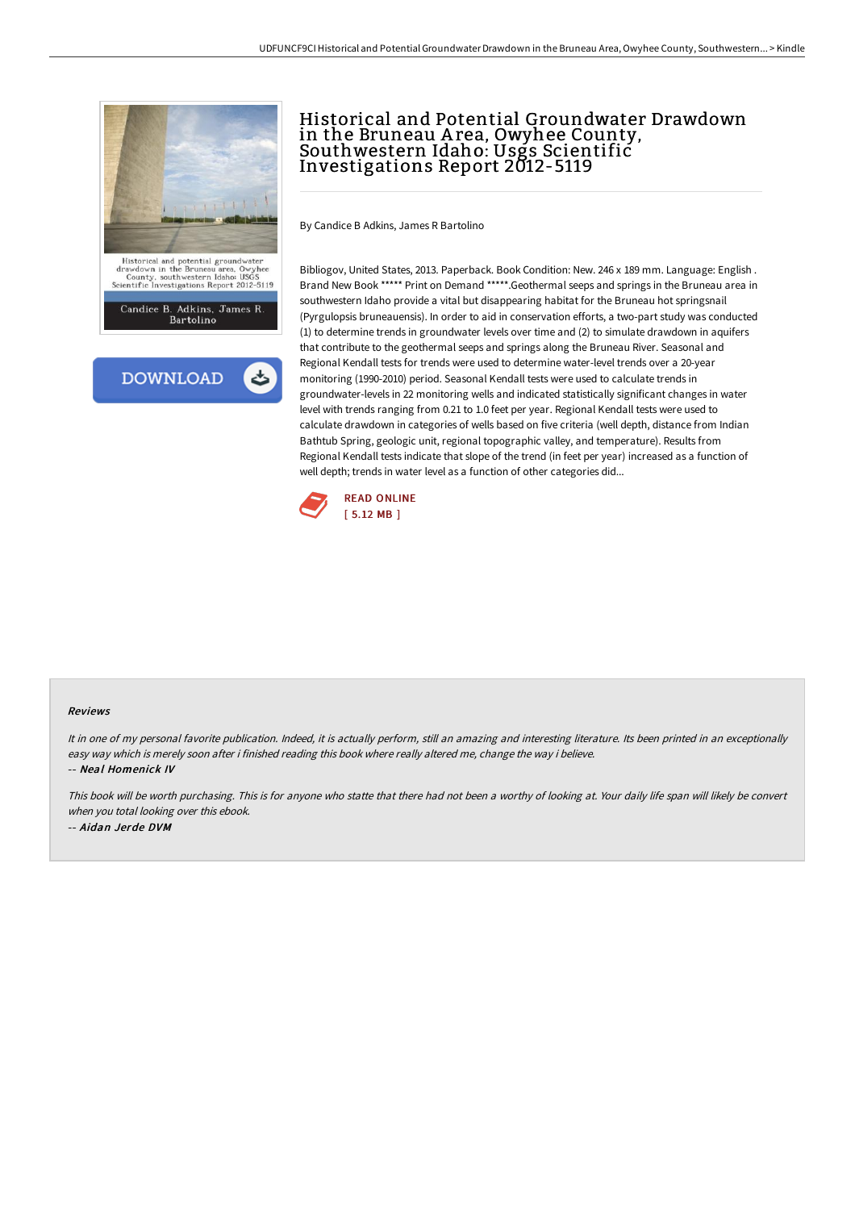



## Historical and Potential Groundwater Drawdown in the Bruneau A rea, Owyhee County, Southwestern Idaho: Usgs Scientific Investigations Report 2012-5119

By Candice B Adkins, James R Bartolino

Bibliogov, United States, 2013. Paperback. Book Condition: New. 246 x 189 mm. Language: English . Brand New Book \*\*\*\*\* Print on Demand \*\*\*\*\*.Geothermal seeps and springs in the Bruneau area in southwestern Idaho provide a vital but disappearing habitat for the Bruneau hot springsnail (Pyrgulopsis bruneauensis). In order to aid in conservation efforts, a two-part study was conducted (1) to determine trends in groundwater levels over time and (2) to simulate drawdown in aquifers that contribute to the geothermal seeps and springs along the Bruneau River. Seasonal and Regional Kendall tests for trends were used to determine water-level trends over a 20-year monitoring (1990-2010) period. Seasonal Kendall tests were used to calculate trends in groundwater-levels in 22 monitoring wells and indicated statistically significant changes in water level with trends ranging from 0.21 to 1.0 feet per year. Regional Kendall tests were used to calculate drawdown in categories of wells based on five criteria (well depth, distance from Indian Bathtub Spring, geologic unit, regional topographic valley, and temperature). Results from Regional Kendall tests indicate that slope of the trend (in feet per year) increased as a function of well depth; trends in water level as a function of other categories did...



## Reviews

It in one of my personal favorite publication. Indeed, it is actually perform, still an amazing and interesting literature. Its been printed in an exceptionally easy way which is merely soon after i finished reading this book where really altered me, change the way i believe. -- Neal Homenick IV

This book will be worth purchasing. This is for anyone who statte that there had not been <sup>a</sup> worthy of looking at. Your daily life span will likely be convert when you total looking over this ebook. -- Aidan Jerde DVM